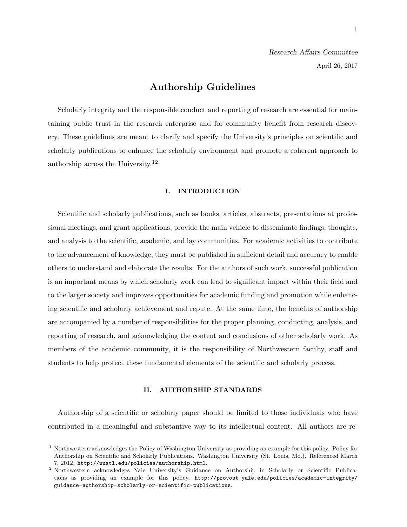# Authorship Guidelines

Scholarly integrity and the responsible conduct and reporting of research are essential for maintaining public trust in the research enterprise and for community benefit from research discovery. These guidelines are meant to clarify and specify the University's principles on scientific and scholarly publications to enhance the scholarly environment and promote a coherent approach to authorship across the University.<sup>12</sup>

#### I. INTRODUCTION

Scientific and scholarly publications, such as books, articles, abstracts, presentations at professional meetings, and grant applications, provide the main vehicle to disseminate findings, thoughts, and analysis to the scientific, academic, and lay communities. For academic activities to contribute to the advancement of knowledge, they must be published in sufficient detail and accuracy to enable others to understand and elaborate the results. For the authors of such work, successful publication is an important means by which scholarly work can lead to significant impact within their field and to the larger society and improves opportunities for academic funding and promotion while enhancing scientific and scholarly achievement and repute. At the same time, the benefits of authorship are accompanied by a number of responsibilities for the proper planning, conducting, analysis, and reporting of research, and acknowledging the content and conclusions of other scholarly work. As members of the academic community, it is the responsibility of Northwestern faculty, staff and students to help protect these fundamental elements of the scientific and scholarly process.

## II. AUTHORSHIP STANDARDS

Authorship of a scientific or scholarly paper should be limited to those individuals who have contributed in a meaningful and substantive way to its intellectual content. All authors are re-

<sup>1</sup> Northwestern acknowledges the Policy of Washington University as providing an example for this policy. Policy for Authorship on Scientific and Scholarly Publications. Washington University (St. Louis, Mo.). Referenced March 7, 2012. http://wustl.edu/policies/authorship.html.

<sup>2</sup> Northwestern acknowledges Yale University's Guidance on Authorship in Scholarly or Scientific Publications as providing an example for this policy, http://provost.yale.edu/policies/academic-integrity/ guidance-authorship-scholarly-or-scientific-publications.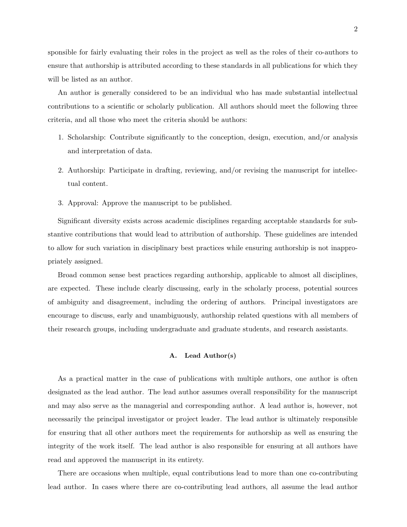sponsible for fairly evaluating their roles in the project as well as the roles of their co-authors to ensure that authorship is attributed according to these standards in all publications for which they will be listed as an author.

An author is generally considered to be an individual who has made substantial intellectual contributions to a scientific or scholarly publication. All authors should meet the following three criteria, and all those who meet the criteria should be authors:

- 1. Scholarship: Contribute significantly to the conception, design, execution, and/or analysis and interpretation of data.
- 2. Authorship: Participate in drafting, reviewing, and/or revising the manuscript for intellectual content.
- 3. Approval: Approve the manuscript to be published.

Significant diversity exists across academic disciplines regarding acceptable standards for substantive contributions that would lead to attribution of authorship. These guidelines are intended to allow for such variation in disciplinary best practices while ensuring authorship is not inappropriately assigned.

Broad common sense best practices regarding authorship, applicable to almost all disciplines, are expected. These include clearly discussing, early in the scholarly process, potential sources of ambiguity and disagreement, including the ordering of authors. Principal investigators are encourage to discuss, early and unambiguously, authorship related questions with all members of their research groups, including undergraduate and graduate students, and research assistants.

# A. Lead Author(s)

As a practical matter in the case of publications with multiple authors, one author is often designated as the lead author. The lead author assumes overall responsibility for the manuscript and may also serve as the managerial and corresponding author. A lead author is, however, not necessarily the principal investigator or project leader. The lead author is ultimately responsible for ensuring that all other authors meet the requirements for authorship as well as ensuring the integrity of the work itself. The lead author is also responsible for ensuring at all authors have read and approved the manuscript in its entirety.

There are occasions when multiple, equal contributions lead to more than one co-contributing lead author. In cases where there are co-contributing lead authors, all assume the lead author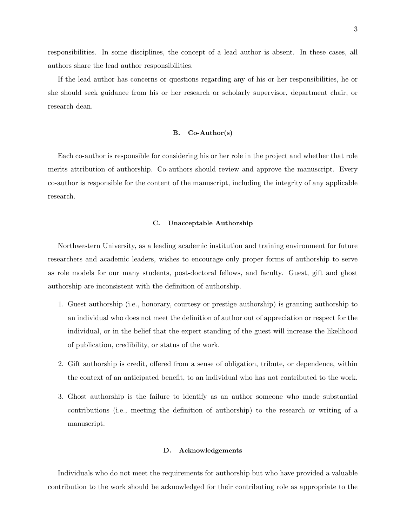responsibilities. In some disciplines, the concept of a lead author is absent. In these cases, all authors share the lead author responsibilities.

If the lead author has concerns or questions regarding any of his or her responsibilities, he or she should seek guidance from his or her research or scholarly supervisor, department chair, or research dean.

## B. Co-Author(s)

Each co-author is responsible for considering his or her role in the project and whether that role merits attribution of authorship. Co-authors should review and approve the manuscript. Every co-author is responsible for the content of the manuscript, including the integrity of any applicable research.

#### C. Unacceptable Authorship

Northwestern University, as a leading academic institution and training environment for future researchers and academic leaders, wishes to encourage only proper forms of authorship to serve as role models for our many students, post-doctoral fellows, and faculty. Guest, gift and ghost authorship are inconsistent with the definition of authorship.

- 1. Guest authorship (i.e., honorary, courtesy or prestige authorship) is granting authorship to an individual who does not meet the definition of author out of appreciation or respect for the individual, or in the belief that the expert standing of the guest will increase the likelihood of publication, credibility, or status of the work.
- 2. Gift authorship is credit, offered from a sense of obligation, tribute, or dependence, within the context of an anticipated benefit, to an individual who has not contributed to the work.
- 3. Ghost authorship is the failure to identify as an author someone who made substantial contributions (i.e., meeting the definition of authorship) to the research or writing of a manuscript.

# D. Acknowledgements

Individuals who do not meet the requirements for authorship but who have provided a valuable contribution to the work should be acknowledged for their contributing role as appropriate to the